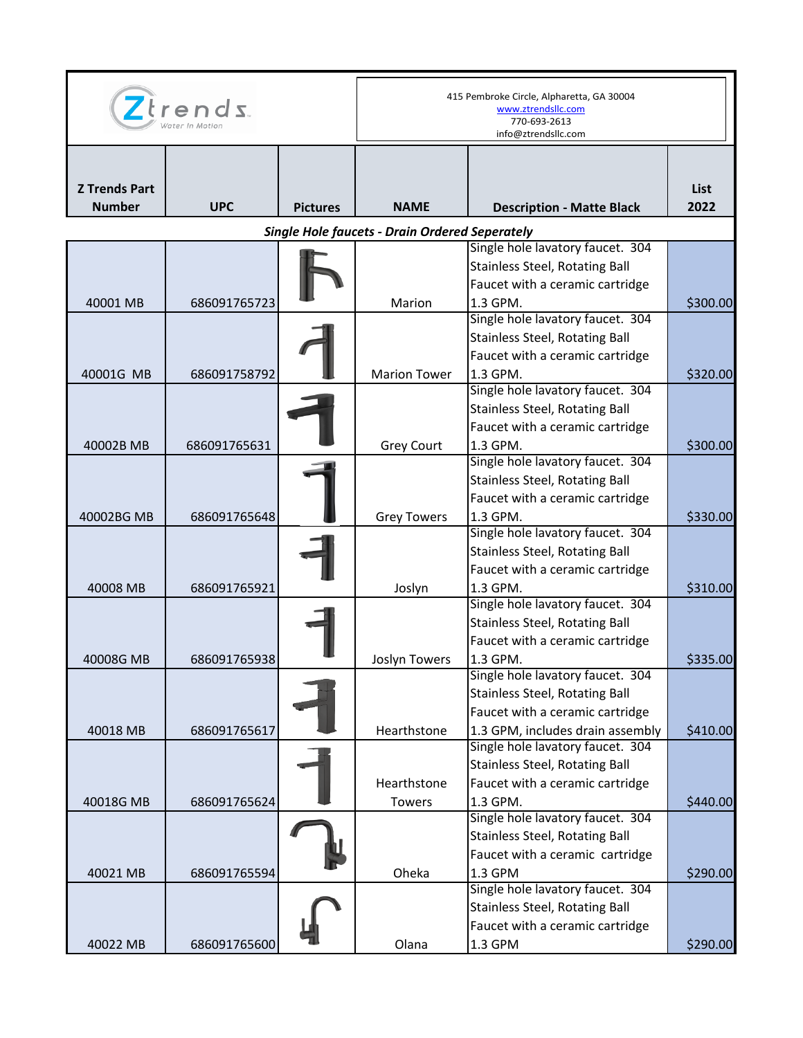| $Z$ trends                                            |              |                 | 415 Pembroke Circle, Alpharetta, GA 30004<br>www.ztrendsllc.com<br>770-693-2613<br>info@ztrendsllc.com |                                              |              |  |  |  |
|-------------------------------------------------------|--------------|-----------------|--------------------------------------------------------------------------------------------------------|----------------------------------------------|--------------|--|--|--|
| <b>Z Trends Part</b><br><b>Number</b>                 | <b>UPC</b>   | <b>Pictures</b> | <b>NAME</b>                                                                                            | <b>Description - Matte Black</b>             | List<br>2022 |  |  |  |
| <b>Single Hole faucets - Drain Ordered Seperately</b> |              |                 |                                                                                                        |                                              |              |  |  |  |
|                                                       |              |                 |                                                                                                        | Single hole lavatory faucet. 304             |              |  |  |  |
|                                                       |              |                 |                                                                                                        | <b>Stainless Steel, Rotating Ball</b>        |              |  |  |  |
|                                                       |              |                 |                                                                                                        | Faucet with a ceramic cartridge              |              |  |  |  |
| 40001 MB                                              | 686091765723 |                 | Marion                                                                                                 | 1.3 GPM.                                     | \$300.00     |  |  |  |
|                                                       |              |                 |                                                                                                        | Single hole lavatory faucet. 304             |              |  |  |  |
|                                                       |              |                 |                                                                                                        | <b>Stainless Steel, Rotating Ball</b>        |              |  |  |  |
|                                                       |              |                 |                                                                                                        | Faucet with a ceramic cartridge              |              |  |  |  |
| 40001G MB                                             | 686091758792 |                 | <b>Marion Tower</b>                                                                                    | 1.3 GPM.                                     | \$320.00     |  |  |  |
|                                                       |              |                 |                                                                                                        | Single hole lavatory faucet. 304             |              |  |  |  |
|                                                       |              |                 |                                                                                                        | <b>Stainless Steel, Rotating Ball</b>        |              |  |  |  |
|                                                       |              |                 |                                                                                                        | Faucet with a ceramic cartridge              |              |  |  |  |
| 40002B MB                                             | 686091765631 |                 | <b>Grey Court</b>                                                                                      | 1.3 GPM.                                     | \$300.00     |  |  |  |
|                                                       |              |                 |                                                                                                        | Single hole lavatory faucet. 304             |              |  |  |  |
|                                                       |              |                 |                                                                                                        | <b>Stainless Steel, Rotating Ball</b>        |              |  |  |  |
|                                                       |              |                 |                                                                                                        | Faucet with a ceramic cartridge              |              |  |  |  |
| 40002BG MB                                            | 686091765648 |                 | <b>Grey Towers</b>                                                                                     | 1.3 GPM.<br>Single hole lavatory faucet. 304 | \$330.00     |  |  |  |
|                                                       |              |                 |                                                                                                        |                                              |              |  |  |  |
|                                                       |              |                 |                                                                                                        | <b>Stainless Steel, Rotating Ball</b>        |              |  |  |  |
|                                                       |              |                 |                                                                                                        | Faucet with a ceramic cartridge<br>1.3 GPM.  |              |  |  |  |
| 40008 MB                                              | 686091765921 |                 | Joslyn                                                                                                 | Single hole lavatory faucet. 304             | \$310.00     |  |  |  |
|                                                       |              |                 |                                                                                                        | <b>Stainless Steel, Rotating Ball</b>        |              |  |  |  |
|                                                       |              |                 |                                                                                                        | Faucet with a ceramic cartridge              |              |  |  |  |
| 40008G MB                                             | 686091765938 |                 | Joslyn Towers                                                                                          | 1.3 GPM.                                     | \$335.00     |  |  |  |
|                                                       |              |                 |                                                                                                        | Single hole lavatory faucet. 304             |              |  |  |  |
|                                                       |              |                 |                                                                                                        | <b>Stainless Steel, Rotating Ball</b>        |              |  |  |  |
|                                                       |              |                 |                                                                                                        | Faucet with a ceramic cartridge              |              |  |  |  |
| 40018 MB                                              | 686091765617 |                 | Hearthstone                                                                                            | 1.3 GPM, includes drain assembly             | \$410.00     |  |  |  |
|                                                       |              |                 |                                                                                                        | Single hole lavatory faucet. 304             |              |  |  |  |
|                                                       |              |                 |                                                                                                        | <b>Stainless Steel, Rotating Ball</b>        |              |  |  |  |
|                                                       |              |                 | Hearthstone                                                                                            | Faucet with a ceramic cartridge              |              |  |  |  |
| 40018G MB                                             | 686091765624 |                 | <b>Towers</b>                                                                                          | 1.3 GPM.                                     | \$440.00     |  |  |  |
|                                                       |              |                 |                                                                                                        | Single hole lavatory faucet. 304             |              |  |  |  |
|                                                       |              |                 |                                                                                                        | <b>Stainless Steel, Rotating Ball</b>        |              |  |  |  |
|                                                       |              |                 |                                                                                                        | Faucet with a ceramic cartridge              |              |  |  |  |
| 40021 MB                                              | 686091765594 |                 | Oheka                                                                                                  | 1.3 GPM                                      | \$290.00     |  |  |  |
|                                                       |              |                 |                                                                                                        | Single hole lavatory faucet. 304             |              |  |  |  |
|                                                       |              |                 |                                                                                                        | <b>Stainless Steel, Rotating Ball</b>        |              |  |  |  |
|                                                       |              |                 |                                                                                                        | Faucet with a ceramic cartridge              |              |  |  |  |
| 40022 MB                                              | 686091765600 |                 | Olana                                                                                                  | 1.3 GPM                                      | \$290.00     |  |  |  |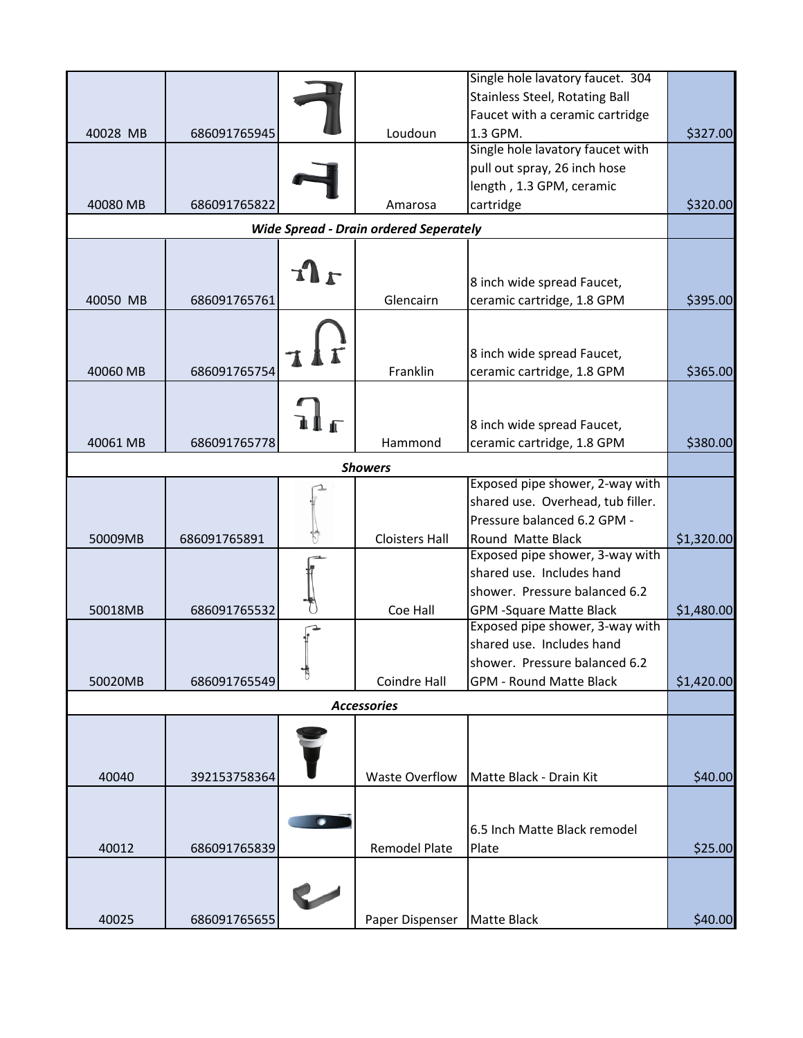|                |                                               |   |                       | Single hole lavatory faucet. 304      |            |  |  |
|----------------|-----------------------------------------------|---|-----------------------|---------------------------------------|------------|--|--|
|                |                                               |   |                       |                                       |            |  |  |
|                |                                               |   |                       | <b>Stainless Steel, Rotating Ball</b> |            |  |  |
|                |                                               |   |                       | Faucet with a ceramic cartridge       |            |  |  |
| 40028 MB       | 686091765945                                  |   | Loudoun               | 1.3 GPM.                              | \$327.00   |  |  |
|                |                                               |   |                       | Single hole lavatory faucet with      |            |  |  |
|                |                                               |   |                       | pull out spray, 26 inch hose          |            |  |  |
|                |                                               |   |                       | length, 1.3 GPM, ceramic              |            |  |  |
| 40080 MB       | 686091765822                                  |   | Amarosa               | cartridge                             | \$320.00   |  |  |
|                | <b>Wide Spread - Drain ordered Seperately</b> |   |                       |                                       |            |  |  |
|                |                                               |   |                       |                                       |            |  |  |
|                |                                               |   |                       |                                       |            |  |  |
|                |                                               |   |                       | 8 inch wide spread Faucet,            |            |  |  |
| 40050 MB       | 686091765761                                  |   | Glencairn             | ceramic cartridge, 1.8 GPM            | \$395.00   |  |  |
|                |                                               |   |                       |                                       |            |  |  |
|                |                                               |   |                       |                                       |            |  |  |
|                |                                               |   |                       | 8 inch wide spread Faucet,            |            |  |  |
| 40060 MB       | 686091765754                                  |   | Franklin              | ceramic cartridge, 1.8 GPM            | \$365.00   |  |  |
|                |                                               |   |                       |                                       |            |  |  |
|                |                                               |   |                       |                                       |            |  |  |
|                |                                               |   |                       |                                       |            |  |  |
|                |                                               |   |                       | 8 inch wide spread Faucet,            |            |  |  |
| 40061 MB       | 686091765778                                  |   | Hammond               | ceramic cartridge, 1.8 GPM            | \$380.00   |  |  |
| <b>Showers</b> |                                               |   |                       |                                       |            |  |  |
|                |                                               |   |                       | Exposed pipe shower, 2-way with       |            |  |  |
|                |                                               |   |                       | shared use. Overhead, tub filler.     |            |  |  |
|                |                                               |   |                       | Pressure balanced 6.2 GPM -           |            |  |  |
| 50009MB        | 686091765891                                  |   | <b>Cloisters Hall</b> | Round Matte Black                     | \$1,320.00 |  |  |
|                |                                               |   |                       | Exposed pipe shower, 3-way with       |            |  |  |
|                |                                               |   |                       | shared use. Includes hand             |            |  |  |
|                |                                               |   |                       | shower. Pressure balanced 6.2         |            |  |  |
| 50018MB        | 686091765532                                  |   | Coe Hall              | <b>GPM -Square Matte Black</b>        | \$1,480.00 |  |  |
|                |                                               |   |                       | Exposed pipe shower, 3-way with       |            |  |  |
|                |                                               |   |                       | shared use. Includes hand             |            |  |  |
|                |                                               |   |                       | shower. Pressure balanced 6.2         |            |  |  |
|                |                                               | ┪ |                       | <b>GPM - Round Matte Black</b>        |            |  |  |
| 50020MB        | 686091765549                                  |   | Coindre Hall          |                                       | \$1,420.00 |  |  |
|                |                                               |   | <b>Accessories</b>    |                                       |            |  |  |
|                |                                               |   |                       |                                       |            |  |  |
|                |                                               |   |                       |                                       |            |  |  |
|                |                                               |   |                       |                                       |            |  |  |
| 40040          | 392153758364                                  |   | <b>Waste Overflow</b> | Matte Black - Drain Kit               | \$40.00    |  |  |
|                |                                               |   |                       |                                       |            |  |  |
|                |                                               |   |                       |                                       |            |  |  |
|                |                                               |   |                       | 6.5 Inch Matte Black remodel          |            |  |  |
| 40012          | 686091765839                                  |   | <b>Remodel Plate</b>  | Plate                                 | \$25.00    |  |  |
|                |                                               |   |                       |                                       |            |  |  |
|                |                                               |   |                       |                                       |            |  |  |
|                |                                               |   |                       |                                       |            |  |  |
| 40025          | 686091765655                                  |   | Paper Dispenser       | <b>Matte Black</b>                    | \$40.00    |  |  |